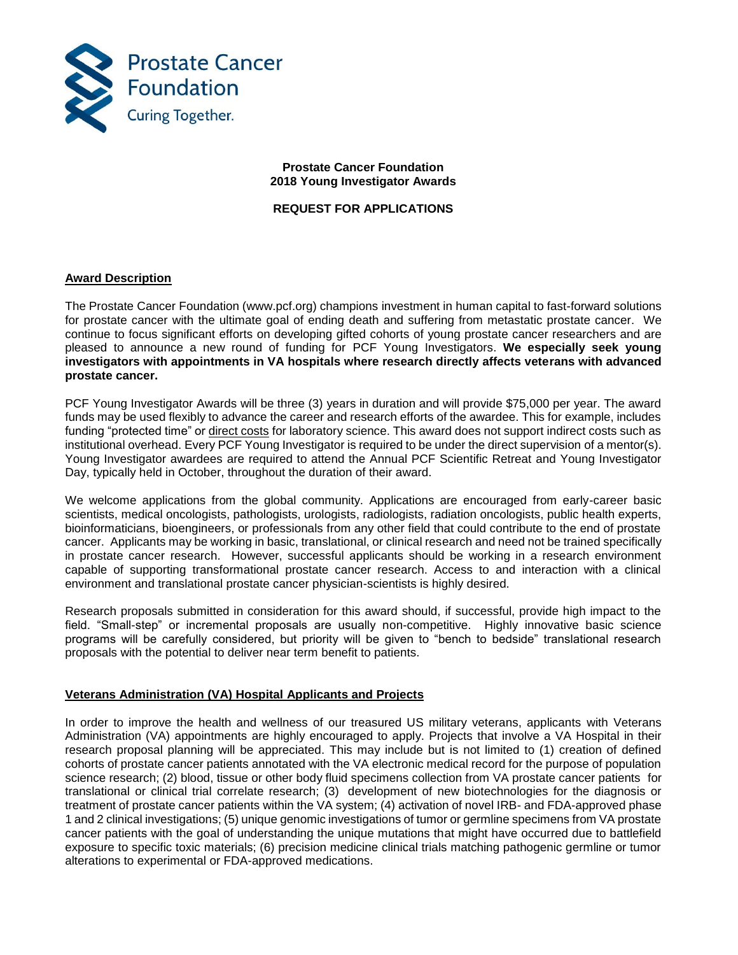

## **Prostate Cancer Foundation 2018 Young Investigator Awards**

# **REQUEST FOR APPLICATIONS**

# **Award Description**

The Prostate Cancer Foundation (www.pcf.org) champions investment in human capital to fast-forward solutions for prostate cancer with the ultimate goal of ending death and suffering from metastatic prostate cancer. We continue to focus significant efforts on developing gifted cohorts of young prostate cancer researchers and are pleased to announce a new round of funding for PCF Young Investigators. **We especially seek young investigators with appointments in VA hospitals where research directly affects veterans with advanced prostate cancer.**

PCF Young Investigator Awards will be three (3) years in duration and will provide \$75,000 per year. The award funds may be used flexibly to advance the career and research efforts of the awardee. This for example, includes funding "protected time" or direct costs for laboratory science. This award does not support indirect costs such as institutional overhead. Every PCF Young Investigator is required to be under the direct supervision of a mentor(s). Young Investigator awardees are required to attend the Annual PCF Scientific Retreat and Young Investigator Day, typically held in October, throughout the duration of their award.

We welcome applications from the global community. Applications are encouraged from early-career basic scientists, medical oncologists, pathologists, urologists, radiologists, radiation oncologists, public health experts, bioinformaticians, bioengineers, or professionals from any other field that could contribute to the end of prostate cancer. Applicants may be working in basic, translational, or clinical research and need not be trained specifically in prostate cancer research. However, successful applicants should be working in a research environment capable of supporting transformational prostate cancer research. Access to and interaction with a clinical environment and translational prostate cancer physician-scientists is highly desired.

Research proposals submitted in consideration for this award should, if successful, provide high impact to the field. "Small-step" or incremental proposals are usually non-competitive. Highly innovative basic science programs will be carefully considered, but priority will be given to "bench to bedside" translational research proposals with the potential to deliver near term benefit to patients.

## **Veterans Administration (VA) Hospital Applicants and Projects**

In order to improve the health and wellness of our treasured US military veterans, applicants with Veterans Administration (VA) appointments are highly encouraged to apply. Projects that involve a VA Hospital in their research proposal planning will be appreciated. This may include but is not limited to (1) creation of defined cohorts of prostate cancer patients annotated with the VA electronic medical record for the purpose of population science research; (2) blood, tissue or other body fluid specimens collection from VA prostate cancer patients for translational or clinical trial correlate research; (3) development of new biotechnologies for the diagnosis or treatment of prostate cancer patients within the VA system; (4) activation of novel IRB- and FDA-approved phase 1 and 2 clinical investigations; (5) unique genomic investigations of tumor or germline specimens from VA prostate cancer patients with the goal of understanding the unique mutations that might have occurred due to battlefield exposure to specific toxic materials; (6) precision medicine clinical trials matching pathogenic germline or tumor alterations to experimental or FDA-approved medications.